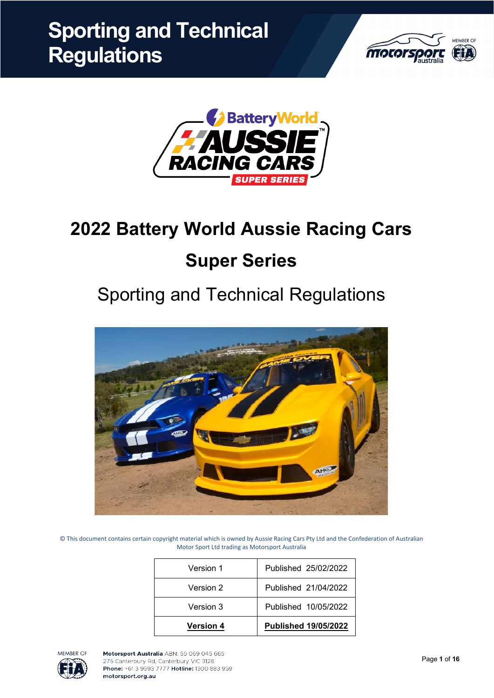



# **2022 Battery World Aussie Racing Cars Super Series**

# Sporting and Technical Regulations



© This document contains certain copyright material which is owned by Aussie Racing Cars Pty Ltd and the Confederation of Australian Motor Sport Ltd trading as Motorsport Australia

| <b>Version 4</b> | <b>Published 19/05/2022</b> |
|------------------|-----------------------------|
| Version 3        | Published 10/05/2022        |
| Version 2        | Published 21/04/2022        |
| Version 1        | Published 25/02/2022        |

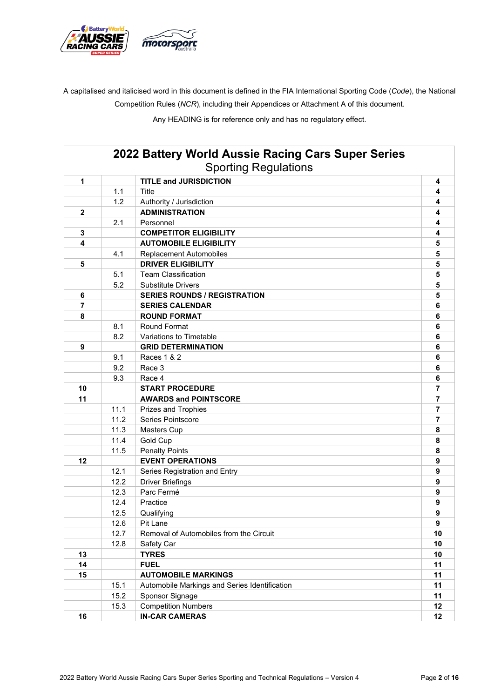

A capitalised and italicised word in this document is defined in the FIA International Sporting Code (*Code*), the National Competition Rules (*NCR*), including their Appendices or Attachment A of this document.

Any HEADING is for reference only and has no regulatory effect.

|                |      | 2022 Battery World Aussie Racing Cars Super Series<br><b>Sporting Regulations</b> |                |
|----------------|------|-----------------------------------------------------------------------------------|----------------|
| 1              |      | <b>TITLE and JURISDICTION</b>                                                     | 4              |
|                | 1.1  | <b>Title</b>                                                                      | 4              |
|                | 1.2  | Authority / Jurisdiction                                                          | 4              |
| $\overline{2}$ |      | <b>ADMINISTRATION</b>                                                             | 4              |
|                | 2.1  | Personnel                                                                         | 4              |
| 3              |      | <b>COMPETITOR ELIGIBILITY</b>                                                     | 4              |
| 4              |      | <b>AUTOMOBILE ELIGIBILITY</b>                                                     | 5              |
|                | 4.1  | <b>Replacement Automobiles</b>                                                    | 5              |
| 5              |      | <b>DRIVER ELIGIBILITY</b>                                                         | 5              |
|                | 5.1  | <b>Team Classification</b>                                                        | 5              |
|                | 5.2  | <b>Substitute Drivers</b>                                                         | 5              |
| 6              |      | <b>SERIES ROUNDS / REGISTRATION</b>                                               | 5              |
| 7              |      | <b>SERIES CALENDAR</b>                                                            | 6              |
| 8              |      | <b>ROUND FORMAT</b>                                                               | 6              |
|                | 8.1  | <b>Round Format</b>                                                               | 6              |
|                | 8.2  | Variations to Timetable                                                           | 6              |
| 9              |      | <b>GRID DETERMINATION</b>                                                         | 6              |
|                | 9.1  | Races 1 & 2                                                                       | 6              |
|                | 9.2  | Race 3                                                                            | 6              |
|                | 9.3  | Race 4                                                                            | 6              |
| 10             |      | <b>START PROCEDURE</b>                                                            | 7              |
| 11             |      | <b>AWARDS and POINTSCORE</b>                                                      | $\overline{7}$ |
|                | 11.1 | <b>Prizes and Trophies</b>                                                        | 7              |
|                | 11.2 | Series Pointscore                                                                 | $\overline{7}$ |
|                | 11.3 | <b>Masters Cup</b>                                                                | 8              |
|                | 11.4 | Gold Cup                                                                          | 8              |
|                | 11.5 | <b>Penalty Points</b>                                                             | 8              |
| 12             |      | <b>EVENT OPERATIONS</b>                                                           | 9              |
|                | 12.1 | Series Registration and Entry                                                     | 9              |
|                | 12.2 | <b>Driver Briefings</b>                                                           | 9              |
|                | 12.3 | Parc Fermé                                                                        | 9              |
|                | 12.4 | Practice                                                                          | 9              |
|                | 12.5 | Qualifying                                                                        | 9              |
|                | 12.6 | Pit Lane                                                                          | 9              |
|                | 12.7 | Removal of Automobiles from the Circuit                                           | 10             |
|                | 12.8 | Safety Car                                                                        | 10             |
| 13             |      | <b>TYRES</b>                                                                      | 10             |
| 14             |      | <b>FUEL</b>                                                                       | 11             |
| 15             |      | <b>AUTOMOBILE MARKINGS</b>                                                        | 11             |
|                | 15.1 | Automobile Markings and Series Identification                                     | 11             |
|                | 15.2 | Sponsor Signage                                                                   | 11             |
|                | 15.3 | <b>Competition Numbers</b>                                                        | 12             |
| 16             |      | <b>IN-CAR CAMERAS</b>                                                             | 12             |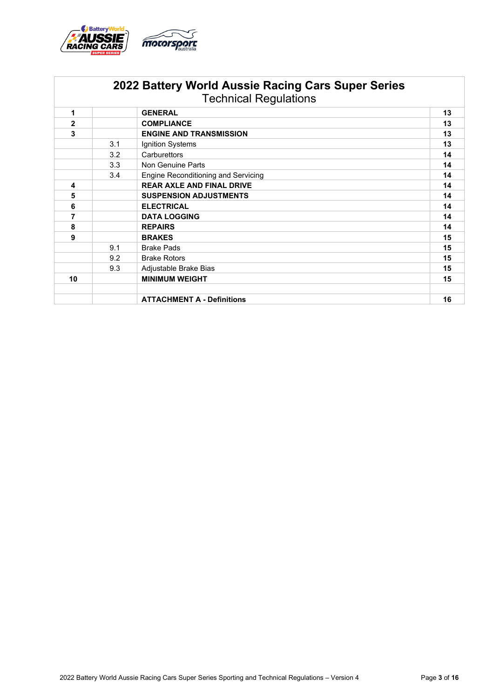

|              |                                            | 2022 Battery World Aussie Racing Cars Super Series<br><b>Technical Regulations</b> |    |
|--------------|--------------------------------------------|------------------------------------------------------------------------------------|----|
| 1            |                                            | <b>GENERAL</b>                                                                     | 13 |
| $\mathbf{2}$ |                                            | <b>COMPLIANCE</b>                                                                  | 13 |
| 3            |                                            | <b>ENGINE AND TRANSMISSION</b>                                                     | 13 |
|              | 3.1                                        | Ignition Systems                                                                   | 13 |
|              | 3.2                                        | Carburettors                                                                       | 14 |
|              | 3.3                                        | Non Genuine Parts                                                                  | 14 |
|              | Engine Reconditioning and Servicing<br>3.4 |                                                                                    | 14 |
| 4            |                                            | <b>REAR AXLE AND FINAL DRIVE</b>                                                   | 14 |
| 5            |                                            | <b>SUSPENSION ADJUSTMENTS</b>                                                      | 14 |
| 6            |                                            | <b>ELECTRICAL</b>                                                                  | 14 |
| 7            |                                            | <b>DATA LOGGING</b>                                                                | 14 |
| 8            |                                            | <b>REPAIRS</b>                                                                     | 14 |
| 9            |                                            | <b>BRAKES</b>                                                                      | 15 |
|              | 9.1                                        | <b>Brake Pads</b>                                                                  | 15 |
|              | 9.2                                        | <b>Brake Rotors</b>                                                                | 15 |
|              | 9.3<br>Adjustable Brake Bias               |                                                                                    | 15 |
| 10           |                                            | <b>MINIMUM WEIGHT</b>                                                              | 15 |
|              |                                            | <b>ATTACHMENT A - Definitions</b>                                                  | 16 |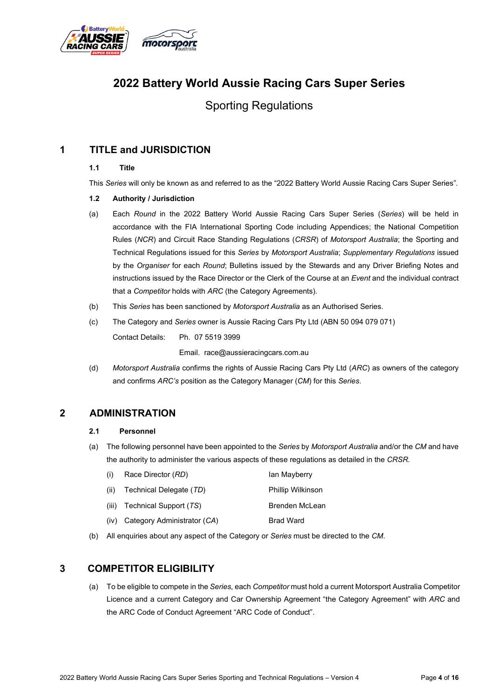

# **2022 Battery World Aussie Racing Cars Super Series**

Sporting Regulations

## **1 TITLE and JURISDICTION**

#### **1.1 Title**

This *Series* will only be known as and referred to as the "2022 Battery World Aussie Racing Cars Super Series".

#### **1.2 Authority / Jurisdiction**

- (a) Each *Round* in the 2022 Battery World Aussie Racing Cars Super Series (*Series*) will be held in accordance with the FIA International Sporting Code including Appendices; the National Competition Rules (*NCR*) and Circuit Race Standing Regulations (*CRSR*) of *Motorsport Australia*; the Sporting and Technical Regulations issued for this *Series* by *Motorsport Australia*; *Supplementary Regulations* issued by the *Organiser* for each *Round*; Bulletins issued by the Stewards and any Driver Briefing Notes and instructions issued by the Race Director or the Clerk of the Course at an *Event* and the individual contract that a *Competitor* holds with *ARC* (the Category Agreements).
- (b) This *Series* has been sanctioned by *Motorsport Australia* as an Authorised Series.
- (c) The Category and *Series* owner is Aussie Racing Cars Pty Ltd (ABN 50 094 079 071) Contact Details: Ph. 07 5519 3999

Email. race@aussieracingcars.com.au

(d) *Motorsport Australia* confirms the rights of Aussie Racing Cars Pty Ltd (*ARC*) as owners of the category and confirms *ARC's* position as the Category Manager (*CM*) for this *Series*.

## **2 ADMINISTRATION**

#### **2.1 Personnel**

(a) The following personnel have been appointed to the *Series* by *Motorsport Australia* and/or the *CM* and have the authority to administer the various aspects of these regulations as detailed in the *CRSR*.

| (i)  | Race Director (RD)             | lan Mayberry             |
|------|--------------------------------|--------------------------|
| (ii) | Technical Delegate (TD)        | <b>Phillip Wilkinson</b> |
|      | (iii) Technical Support $(TS)$ | Brenden McLean           |
| (iv) | Category Administrator (CA)    | <b>Brad Ward</b>         |

(b) All enquiries about any aspect of the Category or *Series* must be directed to the *CM*.

## **3 COMPETITOR ELIGIBILITY**

(a) To be eligible to compete in the *Series*, each *Competitor* must hold a current Motorsport Australia Competitor Licence and a current Category and Car Ownership Agreement "the Category Agreement" with *ARC* and the ARC Code of Conduct Agreement "ARC Code of Conduct".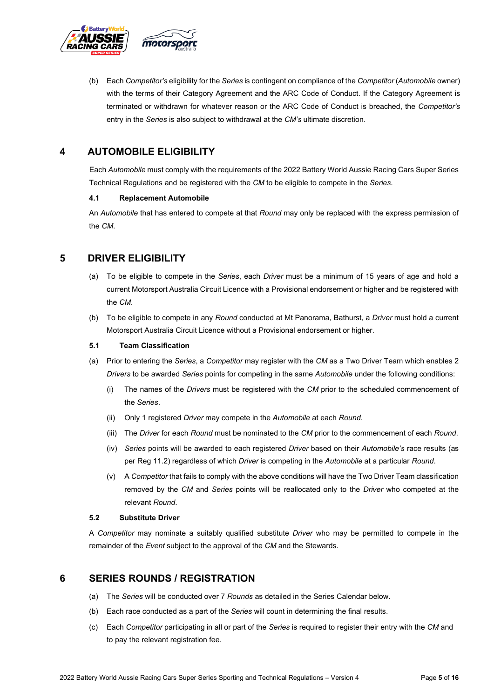

(b) Each *Competitor's* eligibility for the *Series* is contingent on compliance of the *Competitor* (*Automobile* owner) with the terms of their Category Agreement and the ARC Code of Conduct. If the Category Agreement is terminated or withdrawn for whatever reason or the ARC Code of Conduct is breached, the *Competitor's* entry in the *Series* is also subject to withdrawal at the *CM's* ultimate discretion.

## **4 AUTOMOBILE ELIGIBILITY**

Each *Automobile* must comply with the requirements of the 2022 Battery World Aussie Racing Cars Super Series Technical Regulations and be registered with the *CM* to be eligible to compete in the *Series*.

#### **4.1 Replacement Automobile**

An *Automobile* that has entered to compete at that *Round* may only be replaced with the express permission of the *CM*.

## **5 DRIVER ELIGIBILITY**

- (a) To be eligible to compete in the *Series*, each *Driver* must be a minimum of 15 years of age and hold a current Motorsport Australia Circuit Licence with a Provisional endorsement or higher and be registered with the *CM*.
- (b) To be eligible to compete in any *Round* conducted at Mt Panorama, Bathurst, a *Driver* must hold a current Motorsport Australia Circuit Licence without a Provisional endorsement or higher.

#### **5.1 Team Classification**

- (a) Prior to entering the *Series*, a *Competitor* may register with the *CM* as a Two Driver Team which enables 2 *Drivers* to be awarded *Series* points for competing in the same *Automobile* under the following conditions:
	- (i) The names of the *Drivers* must be registered with the *CM* prior to the scheduled commencement of the *Series*.
	- (ii) Only 1 registered *Driver* may compete in the *Automobile* at each *Round*.
	- (iii) The *Driver* for each *Round* must be nominated to the *CM* prior to the commencement of each *Round*.
	- (iv) *Series* points will be awarded to each registered *Driver* based on their *Automobile's* race results (as per Reg 11.2) regardless of which *Driver* is competing in the *Automobile* at a particular *Round*.
	- (v) A *Competitor* that fails to comply with the above conditions will have the Two Driver Team classification removed by the *CM* and *Series* points will be reallocated only to the *Driver* who competed at the relevant *Round*.

#### **5.2 Substitute Driver**

A *Competitor* may nominate a suitably qualified substitute *Driver* who may be permitted to compete in the remainder of the *Event* subject to the approval of the *CM* and the Stewards.

## **6 SERIES ROUNDS / REGISTRATION**

- (a) The *Series* will be conducted over 7 *Rounds* as detailed in the Series Calendar below.
- (b) Each race conducted as a part of the *Series* will count in determining the final results.
- (c) Each *Competitor* participating in all or part of the *Series* is required to register their entry with the *CM* and to pay the relevant registration fee.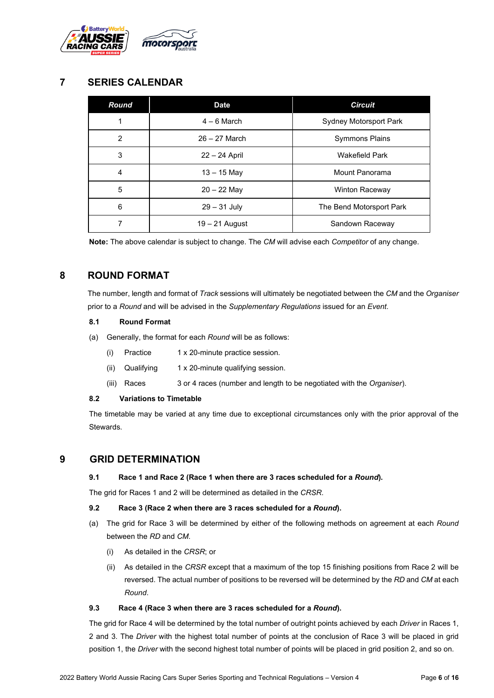

## **7 SERIES CALENDAR**

| Round          | <b>Date</b>      | <b>Circuit</b>           |
|----------------|------------------|--------------------------|
| 1              | $4-6$ March      | Sydney Motorsport Park   |
| $\overline{2}$ | $26 - 27$ March  | <b>Symmons Plains</b>    |
| 3              | 22 - 24 April    | <b>Wakefield Park</b>    |
| 4              | $13 - 15$ May    | Mount Panorama           |
| 5              | $20 - 22$ May    | <b>Winton Raceway</b>    |
| 6              | $29 - 31$ July   | The Bend Motorsport Park |
| 7              | $19 - 21$ August | Sandown Raceway          |

**Note:** The above calendar is subject to change. The *CM* will advise each *Competitor* of any change.

## **8 ROUND FORMAT**

The number, length and format of *Track* sessions will ultimately be negotiated between the *CM* and the *Organiser* prior to a *Round* and will be advised in the *Supplementary Regulations* issued for an *Event*.

#### **8.1 Round Format**

- (a) Generally, the format for each *Round* will be as follows:
	- (i) Practice 1 x 20-minute practice session.
	- (ii) Qualifying 1 x 20-minute qualifying session.
	- (iii) Races 3 or 4 races (number and length to be negotiated with the *Organiser*).

## **8.2 Variations to Timetable**

The timetable may be varied at any time due to exceptional circumstances only with the prior approval of the Stewards.

## **9 GRID DETERMINATION**

#### **9.1 Race 1 and Race 2 (Race 1 when there are 3 races scheduled for a** *Round***).**

The grid for Races 1 and 2 will be determined as detailed in the *CRSR*.

#### **9.2 Race 3 (Race 2 when there are 3 races scheduled for a** *Round***).**

- (a) The grid for Race 3 will be determined by either of the following methods on agreement at each *Round* between the *RD* and *CM*.
	- (i) As detailed in the *CRSR*; or
	- (ii) As detailed in the *CRSR* except that a maximum of the top 15 finishing positions from Race 2 will be reversed. The actual number of positions to be reversed will be determined by the *RD* and *CM* at each *Round*.

#### **9.3 Race 4 (Race 3 when there are 3 races scheduled for a** *Round***).**

The grid for Race 4 will be determined by the total number of outright points achieved by each *Driver* in Races 1, 2 and 3. The *Driver* with the highest total number of points at the conclusion of Race 3 will be placed in grid position 1, the *Driver* with the second highest total number of points will be placed in grid position 2, and so on.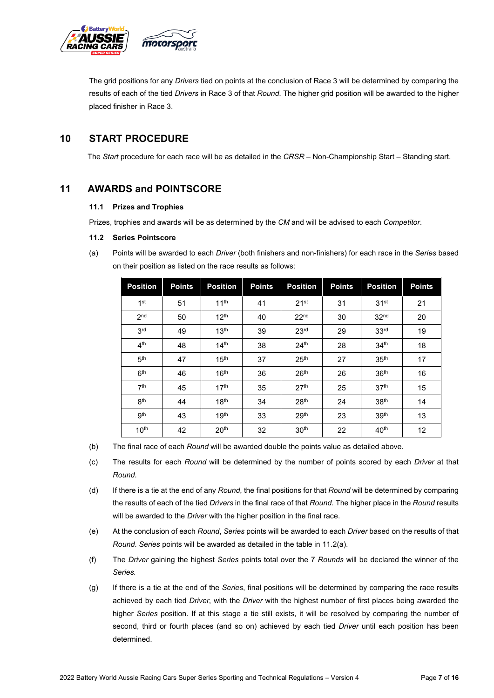

The grid positions for any *Drivers* tied on points at the conclusion of Race 3 will be determined by comparing the results of each of the tied *Drivers* in Race 3 of that *Round*. The higher grid position will be awarded to the higher placed finisher in Race 3.

## **10 START PROCEDURE**

The *Start* procedure for each race will be as detailed in the *CRSR* – Non-Championship Start – Standing start.

## **11 AWARDS and POINTSCORE**

#### **11.1 Prizes and Trophies**

Prizes, trophies and awards will be as determined by the *CM* and will be advised to each *Competitor*.

#### **11.2 Series Pointscore**

(a) Points will be awarded to each *Driver* (both finishers and non-finishers) for each race in the *Series* based on their position as listed on the race results as follows:

| <b>Position</b>  | <b>Points</b> | <b>Position</b>  | <b>Points</b> | <b>Position</b>  | <b>Points</b> | <b>Position</b>  | <b>Points</b> |
|------------------|---------------|------------------|---------------|------------------|---------------|------------------|---------------|
| 1 <sup>st</sup>  | 51            | 11 <sup>th</sup> | 41            | 21 <sup>st</sup> | 31            | 31 <sup>st</sup> | 21            |
| 2 <sub>nd</sub>  | 50            | 12 <sup>th</sup> | 40            | 22 <sup>nd</sup> | 30            | 32 <sup>nd</sup> | 20            |
| 3 <sup>rd</sup>  | 49            | 13 <sup>th</sup> | 39            | 23 <sup>rd</sup> | 29            | 33 <sup>rd</sup> | 19            |
| 4 <sup>th</sup>  | 48            | 14 <sup>th</sup> | 38            | 24 <sup>th</sup> | 28            | 34 <sup>th</sup> | 18            |
| 5 <sup>th</sup>  | 47            | 15 <sup>th</sup> | 37            | 25 <sup>th</sup> | 27            | 35 <sup>th</sup> | 17            |
| 6 <sup>th</sup>  | 46            | 16 <sup>th</sup> | 36            | 26 <sup>th</sup> | 26            | 36 <sup>th</sup> | 16            |
| 7 <sup>th</sup>  | 45            | 17 <sup>th</sup> | 35            | 27 <sup>th</sup> | 25            | 37 <sup>th</sup> | 15            |
| 8 <sup>th</sup>  | 44            | 18 <sup>th</sup> | 34            | 28 <sup>th</sup> | 24            | 38 <sup>th</sup> | 14            |
| gth              | 43            | 19 <sup>th</sup> | 33            | 29 <sup>th</sup> | 23            | 39 <sup>th</sup> | 13            |
| 10 <sup>th</sup> | 42            | 20 <sup>th</sup> | 32            | 30 <sup>th</sup> | 22            | 40 <sup>th</sup> | 12            |

- (b) The final race of each *Round* will be awarded double the points value as detailed above.
- (c) The results for each *Round* will be determined by the number of points scored by each *Driver* at that *Round*.
- (d) If there is a tie at the end of any *Round*, the final positions for that *Round* will be determined by comparing the results of each of the tied *Drivers* in the final race of that *Round*. The higher place in the *Round* results will be awarded to the *Driver* with the higher position in the final race.
- (e) At the conclusion of each *Round*, *Series* points will be awarded to each *Driver* based on the results of that *Round*. *Series* points will be awarded as detailed in the table in 11.2(a).
- (f) The *Driver* gaining the highest *Series* points total over the 7 *Rounds* will be declared the winner of the *Series.*
- (g) If there is a tie at the end of the *Series*, final positions will be determined by comparing the race results achieved by each tied *Driver*, with the *Driver* with the highest number of first places being awarded the higher *Series* position. If at this stage a tie still exists, it will be resolved by comparing the number of second, third or fourth places (and so on) achieved by each tied *Driver* until each position has been determined.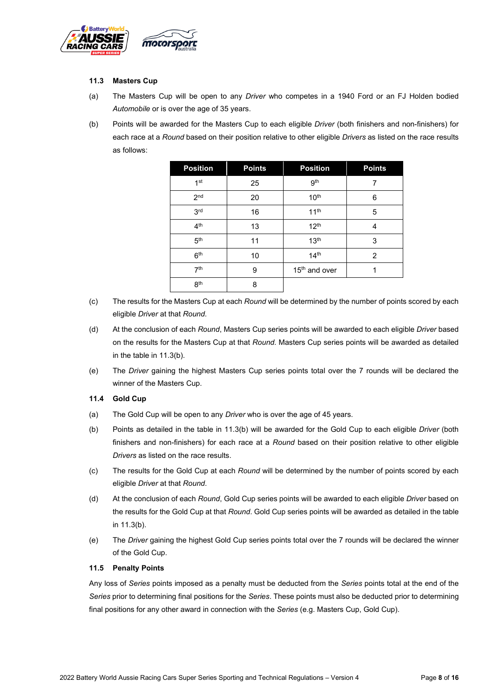

#### **11.3 Masters Cup**

- (a) The Masters Cup will be open to any *Driver* who competes in a 1940 Ford or an FJ Holden bodied *Automobile* or is over the age of 35 years.
- (b) Points will be awarded for the Masters Cup to each eligible *Driver* (both finishers and non-finishers) for each race at a *Round* based on their position relative to other eligible *Drivers* as listed on the race results as follows:

| <b>Position</b> | <b>Points</b> | <b>Position</b>           | <b>Points</b>  |
|-----------------|---------------|---------------------------|----------------|
| 1 <sup>st</sup> | 25            | gth                       | 7              |
| 2 <sub>nd</sub> | 20            | 10 <sup>th</sup>          | 6              |
| 3rd             | 16            | 11 <sup>th</sup>          | 5              |
| 4 <sup>th</sup> | 13            | 12 <sup>th</sup>          | 4              |
| 5 <sup>th</sup> | 11            | 13 <sup>th</sup>          | 3              |
| 6 <sup>th</sup> | 10            | 14 <sup>th</sup>          | $\overline{c}$ |
| 7 <sup>th</sup> | 9             | 15 <sup>th</sup> and over | 1              |
| 8 <sup>th</sup> | 8             |                           |                |

- (c) The results for the Masters Cup at each *Round* will be determined by the number of points scored by each eligible *Driver* at that *Round*.
- (d) At the conclusion of each *Round*, Masters Cup series points will be awarded to each eligible *Driver* based on the results for the Masters Cup at that *Round*. Masters Cup series points will be awarded as detailed in the table in 11.3(b).
- (e) The *Driver* gaining the highest Masters Cup series points total over the 7 rounds will be declared the winner of the Masters Cup.

#### **11.4 Gold Cup**

- (a) The Gold Cup will be open to any *Driver* who is over the age of 45 years.
- (b) Points as detailed in the table in 11.3(b) will be awarded for the Gold Cup to each eligible *Driver* (both finishers and non-finishers) for each race at a *Round* based on their position relative to other eligible *Drivers* as listed on the race results.
- (c) The results for the Gold Cup at each *Round* will be determined by the number of points scored by each eligible *Driver* at that *Round*.
- (d) At the conclusion of each *Round*, Gold Cup series points will be awarded to each eligible *Driver* based on the results for the Gold Cup at that *Round*. Gold Cup series points will be awarded as detailed in the table in 11.3(b).
- (e) The *Driver* gaining the highest Gold Cup series points total over the 7 rounds will be declared the winner of the Gold Cup.

#### **11.5 Penalty Points**

Any loss of *Series* points imposed as a penalty must be deducted from the *Series* points total at the end of the *Series* prior to determining final positions for the *Series*. These points must also be deducted prior to determining final positions for any other award in connection with the *Series* (e.g. Masters Cup, Gold Cup).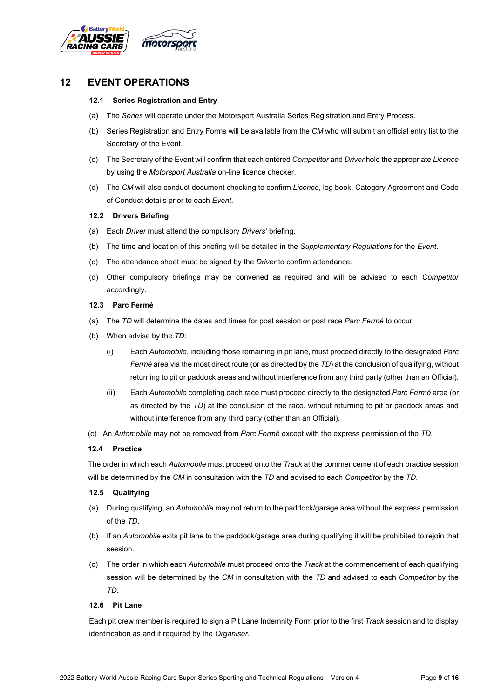

## **12 EVENT OPERATIONS**

#### **12.1 Series Registration and Entry**

- (a) The *Series* will operate under the Motorsport Australia Series Registration and Entry Process.
- (b) Series Registration and Entry Forms will be available from the *CM* who will submit an official entry list to the Secretary of the Event.
- (c) The Secretary of the Event will confirm that each entered *Competitor* and *Driver* hold the appropriate *Licence* by using the *Motorsport Australia* on-line licence checker.
- (d) The *CM* will also conduct document checking to confirm *Licence*, log book, Category Agreement and Code of Conduct details prior to each *Event*.

#### **12.2 Drivers Briefing**

- (a) Each *Driver* must attend the compulsory *Drivers'* briefing.
- (b) The time and location of this briefing will be detailed in the *Supplementary Regulations* for the *Event*.
- (c) The attendance sheet must be signed by the *Driver* to confirm attendance.
- (d) Other compulsory briefings may be convened as required and will be advised to each *Competitor* accordingly.

#### **12.3 Parc Fermé**

- (a) The *TD* will determine the dates and times for post session or post race *Parc Fermé* to occur.
- (b) When advise by the *TD*:
	- (i) Each *Automobile*, including those remaining in pit lane, must proceed directly to the designated *Parc Fermé* area via the most direct route (or as directed by the *TD*) at the conclusion of qualifying, without returning to pit or paddock areas and without interference from any third party (other than an Official).
	- (ii) Each *Automobile* completing each race must proceed directly to the designated *Parc Fermé* area (or as directed by the *TD*) at the conclusion of the race, without returning to pit or paddock areas and without interference from any third party (other than an Official).
- (c) An *Automobile* may not be removed from *Parc Fermé* except with the express permission of the *TD*.

#### **12.4 Practice**

The order in which each *Automobile* must proceed onto the *Track* at the commencement of each practice session will be determined by the *CM* in consultation with the *TD* and advised to each *Competitor* by the *TD*.

#### **12.5 Qualifying**

- (a) During qualifying, an *Automobile* may not return to the paddock/garage area without the express permission of the *TD*.
- (b) If an *Automobile* exits pit lane to the paddock/garage area during qualifying it will be prohibited to rejoin that session.
- (c) The order in which each *Automobile* must proceed onto the *Track* at the commencement of each qualifying session will be determined by the *CM* in consultation with the *TD* and advised to each *Competitor* by the *TD*.

#### **12.6 Pit Lane**

Each pit crew member is required to sign a Pit Lane Indemnity Form prior to the first *Track* session and to display identification as and if required by the *Organiser*.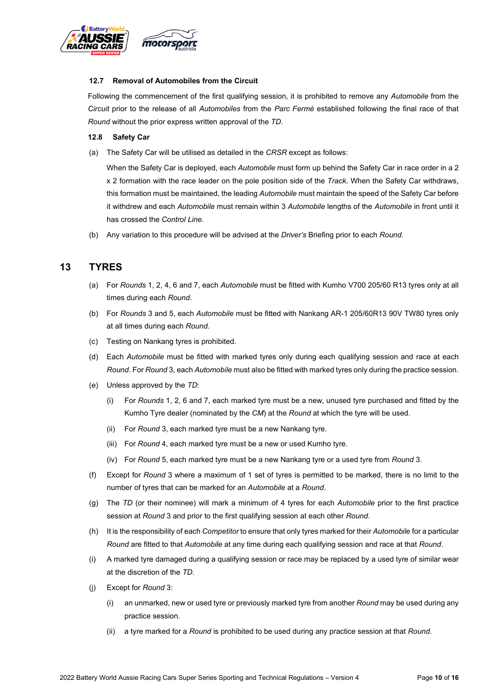

#### **12.7 Removal of Automobiles from the Circuit**

Following the commencement of the first qualifying session, it is prohibited to remove any *Automobile* from the *Circuit* prior to the release of all *Automobiles* from the *Parc Fermé* established following the final race of that *Round* without the prior express written approval of the *TD*.

#### **12.8 Safety Car**

(a) The Safety Car will be utilised as detailed in the *CRSR* except as follows:

When the Safety Car is deployed, each *Automobile* must form up behind the Safety Car in race order in a 2 x 2 formation with the race leader on the pole position side of the *Track*. When the Safety Car withdraws, this formation must be maintained, the leading *Automobile* must maintain the speed of the Safety Car before it withdrew and each *Automobile* must remain within 3 *Automobile* lengths of the *Automobile* in front until it has crossed the *Control Line*.

(b) Any variation to this procedure will be advised at the *Driver's* Briefing prior to each *Round*.

## **13 TYRES**

- (a) For *Rounds* 1, 2, 4, 6 and 7, each *Automobile* must be fitted with Kumho V700 205/60 R13 tyres only at all times during each *Round*.
- (b) For *Rounds* 3 and 5, each *Automobile* must be fitted with Nankang AR-1 205/60R13 90V TW80 tyres only at all times during each *Round*.
- (c) Testing on Nankang tyres is prohibited.
- (d) Each *Automobile* must be fitted with marked tyres only during each qualifying session and race at each *Round*. For *Round* 3, each *Automobile* must also be fitted with marked tyres only during the practice session.
- (e) Unless approved by the *TD*:
	- (i) For *Rounds* 1, 2, 6 and 7, each marked tyre must be a new, unused tyre purchased and fitted by the Kumho Tyre dealer (nominated by the *CM*) at the *Round* at which the tyre will be used.
	- (ii) For *Round* 3, each marked tyre must be a new Nankang tyre.
	- (iii) For *Round* 4, each marked tyre must be a new or used Kumho tyre.
	- (iv) For *Round* 5, each marked tyre must be a new Nankang tyre or a used tyre from *Round* 3.
- (f) Except for *Round* 3 where a maximum of 1 set of tyres is permitted to be marked, there is no limit to the number of tyres that can be marked for an *Automobile* at a *Round*.
- (g) The *TD* (or their nominee) will mark a minimum of 4 tyres for each *Automobile* prior to the first practice session at *Round* 3 and prior to the first qualifying session at each other *Round*.
- (h) It is the responsibility of each *Competitor* to ensure that only tyres marked for their *Automobile* for a particular *Round* are fitted to that *Automobile* at any time during each qualifying session and race at that *Round*.
- (i) A marked tyre damaged during a qualifying session or race may be replaced by a used tyre of similar wear at the discretion of the *TD*.
- (j) Except for *Round* 3:
	- (i) an unmarked, new or used tyre or previously marked tyre from another *Round* may be used during any practice session.
	- (ii) a tyre marked for a *Round* is prohibited to be used during any practice session at that *Round*.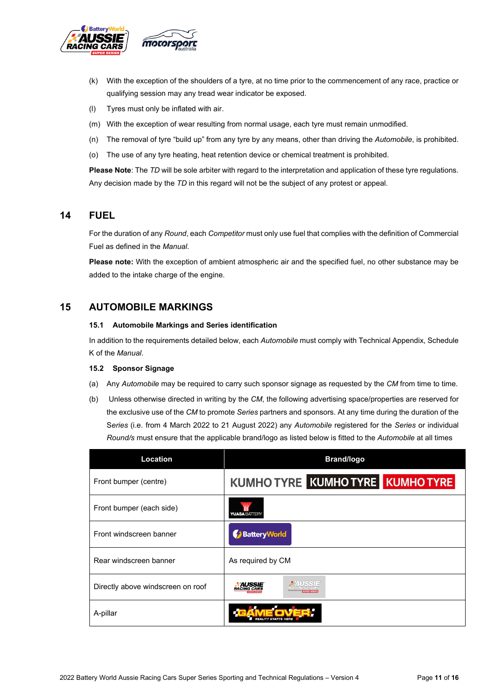

- (k) With the exception of the shoulders of a tyre, at no time prior to the commencement of any race, practice or qualifying session may any tread wear indicator be exposed.
- (l) Tyres must only be inflated with air.
- (m) With the exception of wear resulting from normal usage, each tyre must remain unmodified.
- (n) The removal of tyre "build up" from any tyre by any means, other than driving the *Automobile*, is prohibited.
- (o) The use of any tyre heating, heat retention device or chemical treatment is prohibited.

**Please Note**: The *TD* will be sole arbiter with regard to the interpretation and application of these tyre regulations. Any decision made by the *TD* in this regard will not be the subject of any protest or appeal.

## **14 FUEL**

For the duration of any *Round*, each *Competitor* must only use fuel that complies with the definition of Commercial Fuel as defined in the *Manual*.

**Please note:** With the exception of ambient atmospheric air and the specified fuel, no other substance may be added to the intake charge of the engine.

## **15 AUTOMOBILE MARKINGS**

#### **15.1 Automobile Markings and Series identification**

In addition to the requirements detailed below, each *Automobile* must comply with Technical Appendix, Schedule K of the *Manual*.

#### **15.2 Sponsor Signage**

- (a) Any *Automobile* may be required to carry such sponsor signage as requested by the *CM* from time to time.
- (b) Unless otherwise directed in writing by the *CM*, the following advertising space/properties are reserved for the exclusive use of the *CM* to promote *Series* partners and sponsors. At any time during the duration of the S*eries* (i.e. from 4 March 2022 to 21 August 2022) any *Automobile* registered for the *Series* or individual *Round/s* must ensure that the applicable brand/logo as listed below is fitted to the *Automobile* at all times

| Location                          | <b>Brand/logo</b>                            |
|-----------------------------------|----------------------------------------------|
| Front bumper (centre)             | KUMHO TYRE KUMHO TYRE KUMHO TYRE             |
| Front bumper (each side)          | <b>YUASA BATTERY</b>                         |
| Front windscreen banner           | Battery World                                |
| Rear windscreen banner            | As required by CM                            |
| Directly above windscreen on roof | wssie<br><b>AUSSIE</b><br><b>RACING CARS</b> |
| A-pillar                          | D (C                                         |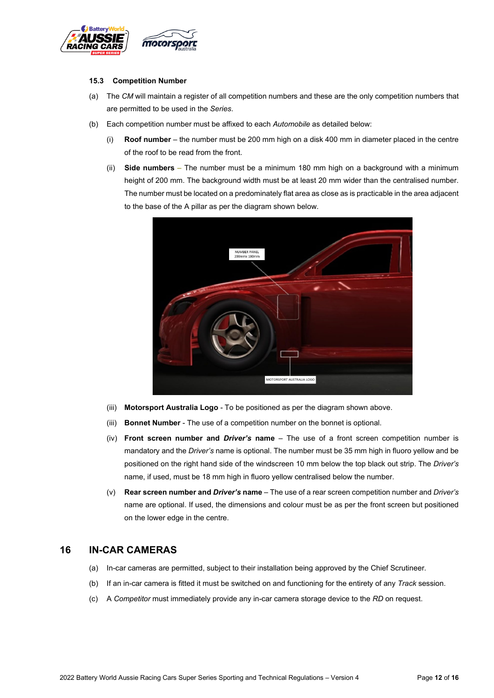

#### **15.3 Competition Number**

- (a) The *CM* will maintain a register of all competition numbers and these are the only competition numbers that are permitted to be used in the *Series*.
- (b) Each competition number must be affixed to each *Automobile* as detailed below:
	- (i) **Roof number** the number must be 200 mm high on a disk 400 mm in diameter placed in the centre of the roof to be read from the front.
	- (ii) **Side numbers** The number must be a minimum 180 mm high on a background with a minimum height of 200 mm. The background width must be at least 20 mm wider than the centralised number. The number must be located on a predominately flat area as close as is practicable in the area adjacent to the base of the A pillar as per the diagram shown below.



- (iii) **Motorsport Australia Logo** To be positioned as per the diagram shown above.
- (iii) **Bonnet Number** The use of a competition number on the bonnet is optional.
- (iv) **Front screen number and** *Driver's* **name** The use of a front screen competition number is mandatory and the *Driver's* name is optional. The number must be 35 mm high in fluoro yellow and be positioned on the right hand side of the windscreen 10 mm below the top black out strip. The *Driver's*  name, if used, must be 18 mm high in fluoro yellow centralised below the number.
- (v) **Rear screen number and** *Driver's* **name** The use of a rear screen competition number and *Driver's* name are optional. If used, the dimensions and colour must be as per the front screen but positioned on the lower edge in the centre.

## **16 IN-CAR CAMERAS**

- (a) In-car cameras are permitted, subject to their installation being approved by the Chief Scrutineer.
- (b) If an in-car camera is fitted it must be switched on and functioning for the entirety of any *Track* session.
- (c) A *Competitor* must immediately provide any in-car camera storage device to the *RD* on request.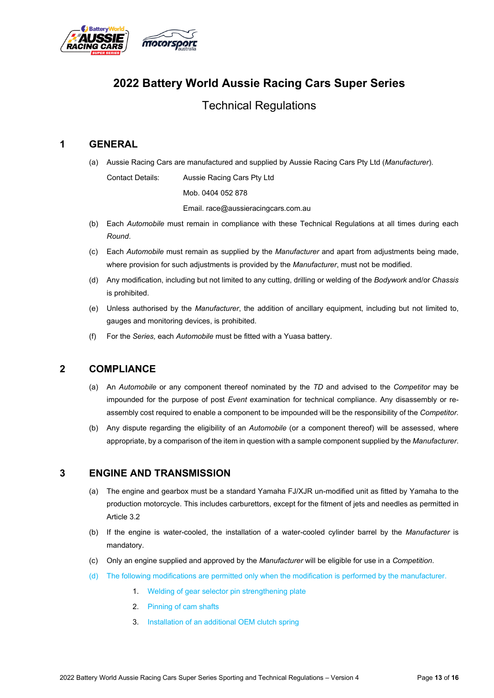

# **2022 Battery World Aussie Racing Cars Super Series**

## Technical Regulations

## **1 GENERAL**

(a) Aussie Racing Cars are manufactured and supplied by Aussie Racing Cars Pty Ltd (*Manufacturer*).

Contact Details: Aussie Racing Cars Pty Ltd Mob. 0404 052 878 Email. race@aussieracingcars.com.au

- (b) Each *Automobile* must remain in compliance with these Technical Regulations at all times during each *Round*.
- (c) Each *Automobile* must remain as supplied by the *Manufacturer* and apart from adjustments being made, where provision for such adjustments is provided by the *Manufacturer*, must not be modified.
- (d) Any modification, including but not limited to any cutting, drilling or welding of the *Bodywork* and/or *Chassis* is prohibited.
- (e) Unless authorised by the *Manufacturer*, the addition of ancillary equipment, including but not limited to, gauges and monitoring devices, is prohibited.
- (f) For the *Series,* each *Automobile* must be fitted with a Yuasa battery.

## **2 COMPLIANCE**

- (a) An *Automobile* or any component thereof nominated by the *TD* and advised to the *Competitor* may be impounded for the purpose of post *Event* examination for technical compliance. Any disassembly or reassembly cost required to enable a component to be impounded will be the responsibility of the *Competitor*.
- (b) Any dispute regarding the eligibility of an *Automobile* (or a component thereof) will be assessed, where appropriate, by a comparison of the item in question with a sample component supplied by the *Manufacturer*.

## **3 ENGINE AND TRANSMISSION**

- (a) The engine and gearbox must be a standard Yamaha FJ/XJR un-modified unit as fitted by Yamaha to the production motorcycle. This includes carburettors, except for the fitment of jets and needles as permitted in Article 3.2
- (b) If the engine is water-cooled, the installation of a water-cooled cylinder barrel by the *Manufacturer* is mandatory.
- (c) Only an engine supplied and approved by the *Manufacturer* will be eligible for use in a *Competition*.
- (d) The following modifications are permitted only when the modification is performed by the manufacturer.
	- 1. Welding of gear selector pin strengthening plate
	- 2. Pinning of cam shafts
	- 3. Installation of an additional OEM clutch spring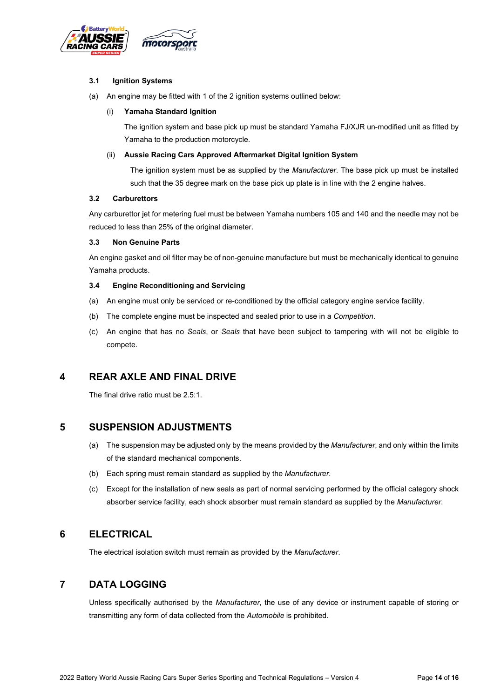

#### **3.1 Ignition Systems**

(a) An engine may be fitted with 1 of the 2 ignition systems outlined below:

#### (i) **Yamaha Standard Ignition**

The ignition system and base pick up must be standard Yamaha FJ/XJR un-modified unit as fitted by Yamaha to the production motorcycle.

#### (ii) **Aussie Racing Cars Approved Aftermarket Digital Ignition System**

The ignition system must be as supplied by the *Manufacturer*. The base pick up must be installed such that the 35 degree mark on the base pick up plate is in line with the 2 engine halves.

#### **3.2 Carburettors**

Any carburettor jet for metering fuel must be between Yamaha numbers 105 and 140 and the needle may not be reduced to less than 25% of the original diameter.

#### **3.3 Non Genuine Parts**

An engine gasket and oil filter may be of non-genuine manufacture but must be mechanically identical to genuine Yamaha products.

#### **3.4 Engine Reconditioning and Servicing**

- (a) An engine must only be serviced or re-conditioned by the official category engine service facility.
- (b) The complete engine must be inspected and sealed prior to use in a *Competition*.
- (c) An engine that has no *Seals*, or *Seals* that have been subject to tampering with will not be eligible to compete.

## **4 REAR AXLE AND FINAL DRIVE**

The final drive ratio must be 2.5:1.

### **5 SUSPENSION ADJUSTMENTS**

- (a) The suspension may be adjusted only by the means provided by the *Manufacturer*, and only within the limits of the standard mechanical components.
- (b) Each spring must remain standard as supplied by the *Manufacturer*.
- (c) Except for the installation of new seals as part of normal servicing performed by the official category shock absorber service facility, each shock absorber must remain standard as supplied by the *Manufacturer*.

## **6 ELECTRICAL**

The electrical isolation switch must remain as provided by the *Manufacturer*.

## **7 DATA LOGGING**

Unless specifically authorised by the *Manufacturer*, the use of any device or instrument capable of storing or transmitting any form of data collected from the *Automobile* is prohibited.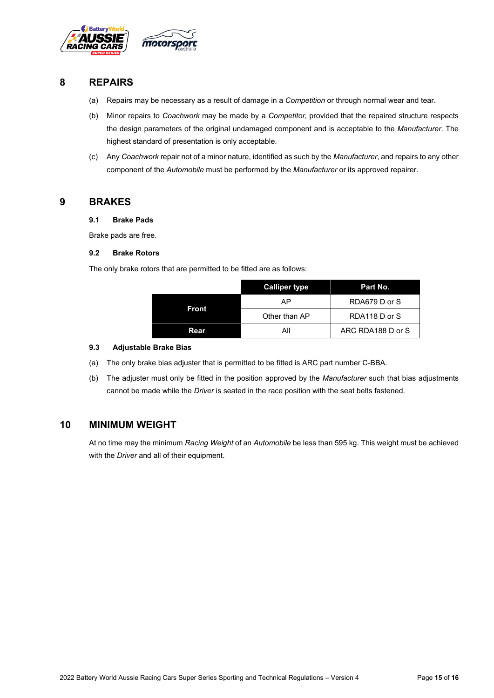

## **8 REPAIRS**

- (a) Repairs may be necessary as a result of damage in a *Competition* or through normal wear and tear.
- (b) Minor repairs to *Coachwork* may be made by a *Competitor*, provided that the repaired structure respects the design parameters of the original undamaged component and is acceptable to the *Manufacturer*. The highest standard of presentation is only acceptable.
- (c) Any *Coachwork* repair not of a minor nature, identified as such by the *Manufacturer*, and repairs to any other component of the *Automobile* must be performed by the *Manufacturer* or its approved repairer.

#### **9 BRAKES**

#### **9.1 Brake Pads**

Brake pads are free.

#### **9.2 Brake Rotors**

The only brake rotors that are permitted to be fitted are as follows:

|       | <b>Calliper type</b> | Part No.          |
|-------|----------------------|-------------------|
| Front | AP                   | RDA679 D or S     |
|       | Other than AP        | RDA118 D or S     |
| Rear  | All                  | ARC RDA188 D or S |

#### **9.3 Adjustable Brake Bias**

- (a) The only brake bias adjuster that is permitted to be fitted is ARC part number C-BBA.
- (b) The adjuster must only be fitted in the position approved by the *Manufacturer* such that bias adjustments cannot be made while the *Driver* is seated in the race position with the seat belts fastened.

## **10 MINIMUM WEIGHT**

At no time may the minimum *Racing Weight* of an *Automobile* be less than 595 kg. This weight must be achieved with the *Driver* and all of their equipment.